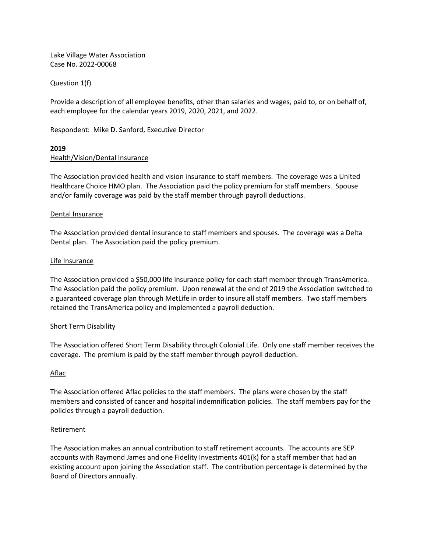Lake Village Water Association Case No. 2022-00068

Question 1(f)

Provide a description of all employee benefits, other than salaries and wages, paid to, or on behalf of, each employee for the calendar years 2019, 2020, 2021, and 2022.

Respondent: Mike D. Sanford, Executive Director

# **2019** Health/Vision/Dental Insurance

The Association provided health and vision insurance to staff members. The coverage was a United Healthcare Choice HMO plan. The Association paid the policy premium for staff members. Spouse and/or family coverage was paid by the staff member through payroll deductions.

#### Dental Insurance

The Association provided dental insurance to staff members and spouses. The coverage was a Delta Dental plan. The Association paid the policy premium.

#### Life Insurance

The Association provided a \$50,000 life insurance policy for each staff member through TransAmerica. The Association paid the policy premium. Upon renewal at the end of 2019 the Association switched to a guaranteed coverage plan through MetLife in order to insure all staff members. Two staff members retained the TransAmerica policy and implemented a payroll deduction.

### Short Term Disability

The Association offered Short Term Disability through Colonial Life. Only one staff member receives the coverage. The premium is paid by the staff member through payroll deduction.

### Aflac

The Association offered Aflac policies to the staff members. The plans were chosen by the staff members and consisted of cancer and hospital indemnification policies. The staff members pay for the policies through a payroll deduction.

#### Retirement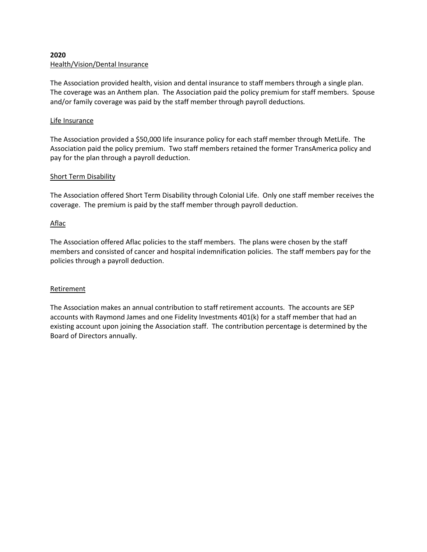# **2020** Health/Vision/Dental Insurance

The Association provided health, vision and dental insurance to staff members through a single plan. The coverage was an Anthem plan. The Association paid the policy premium for staff members. Spouse and/or family coverage was paid by the staff member through payroll deductions.

# Life Insurance

The Association provided a \$50,000 life insurance policy for each staff member through MetLife. The Association paid the policy premium. Two staff members retained the former TransAmerica policy and pay for the plan through a payroll deduction.

# Short Term Disability

The Association offered Short Term Disability through Colonial Life. Only one staff member receives the coverage. The premium is paid by the staff member through payroll deduction.

# Aflac

The Association offered Aflac policies to the staff members. The plans were chosen by the staff members and consisted of cancer and hospital indemnification policies. The staff members pay for the policies through a payroll deduction.

### Retirement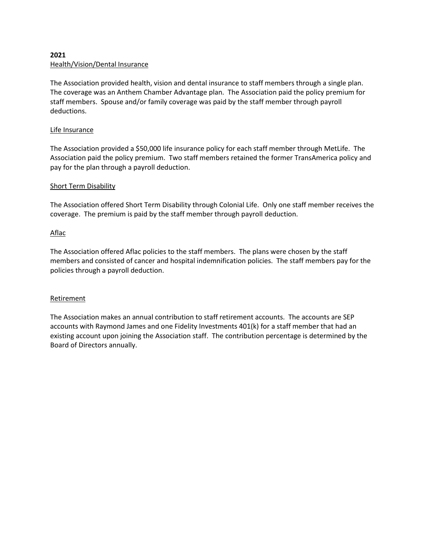# **2021** Health/Vision/Dental Insurance

The Association provided health, vision and dental insurance to staff members through a single plan. The coverage was an Anthem Chamber Advantage plan. The Association paid the policy premium for staff members. Spouse and/or family coverage was paid by the staff member through payroll deductions.

# Life Insurance

The Association provided a \$50,000 life insurance policy for each staff member through MetLife. The Association paid the policy premium. Two staff members retained the former TransAmerica policy and pay for the plan through a payroll deduction.

# Short Term Disability

The Association offered Short Term Disability through Colonial Life. Only one staff member receives the coverage. The premium is paid by the staff member through payroll deduction.

# Aflac

The Association offered Aflac policies to the staff members. The plans were chosen by the staff members and consisted of cancer and hospital indemnification policies. The staff members pay for the policies through a payroll deduction.

### Retirement